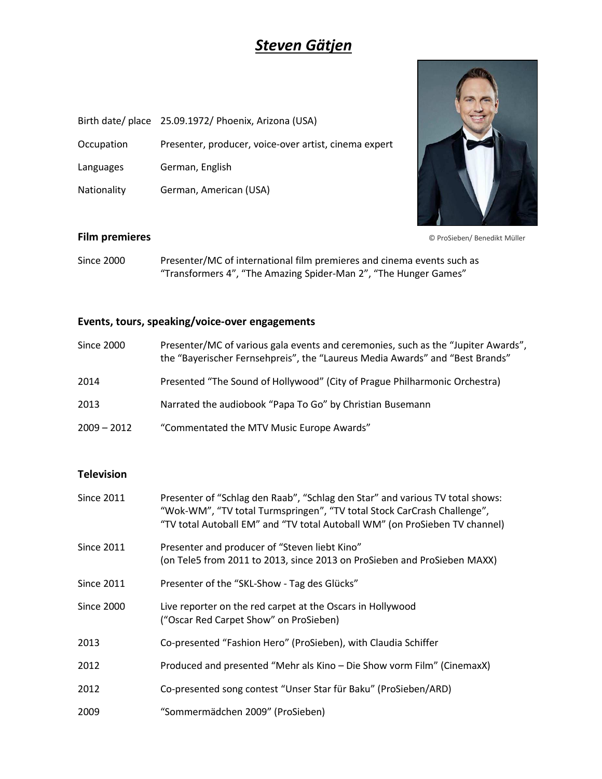# *Steven Gätjen*

- Birth date/ place 25.09.1972/ Phoenix, Arizona (USA)
- Occupation Presenter, producer, voice-over artist, cinema expert
- Languages German, English
- Nationality German, American (USA)



**Film premieres** © ProSieben/ Benedikt Müller

Since 2000 Presenter/MC of international film premieres and cinema events such as "Transformers 4", "The Amazing Spider-Man 2", "The Hunger Games"

### **Events, tours, speaking/voice-over engagements**

| Since 2000    | Presenter/MC of various gala events and ceremonies, such as the "Jupiter Awards",<br>the "Bayerischer Fernsehpreis", the "Laureus Media Awards" and "Best Brands" |
|---------------|-------------------------------------------------------------------------------------------------------------------------------------------------------------------|
| 2014          | Presented "The Sound of Hollywood" (City of Prague Philharmonic Orchestra)                                                                                        |
| 2013          | Narrated the audiobook "Papa To Go" by Christian Busemann                                                                                                         |
| $2009 - 2012$ | "Commentated the MTV Music Europe Awards"                                                                                                                         |

### **Television**

| <b>Since 2011</b> | Presenter of "Schlag den Raab", "Schlag den Star" and various TV total shows:<br>"Wok-WM", "TV total Turmspringen", "TV total Stock CarCrash Challenge",<br>"TV total Autoball EM" and "TV total Autoball WM" (on ProSieben TV channel) |
|-------------------|-----------------------------------------------------------------------------------------------------------------------------------------------------------------------------------------------------------------------------------------|
| <b>Since 2011</b> | Presenter and producer of "Steven liebt Kino"<br>(on Tele5 from 2011 to 2013, since 2013 on ProSieben and ProSieben MAXX)                                                                                                               |
| <b>Since 2011</b> | Presenter of the "SKL-Show - Tag des Glücks"                                                                                                                                                                                            |
| <b>Since 2000</b> | Live reporter on the red carpet at the Oscars in Hollywood<br>("Oscar Red Carpet Show" on ProSieben)                                                                                                                                    |
| 2013              | Co-presented "Fashion Hero" (ProSieben), with Claudia Schiffer                                                                                                                                                                          |
| 2012              | Produced and presented "Mehr als Kino - Die Show vorm Film" (CinemaxX)                                                                                                                                                                  |
| 2012              | Co-presented song contest "Unser Star für Baku" (ProSieben/ARD)                                                                                                                                                                         |
| 2009              | "Sommermädchen 2009" (ProSieben)                                                                                                                                                                                                        |